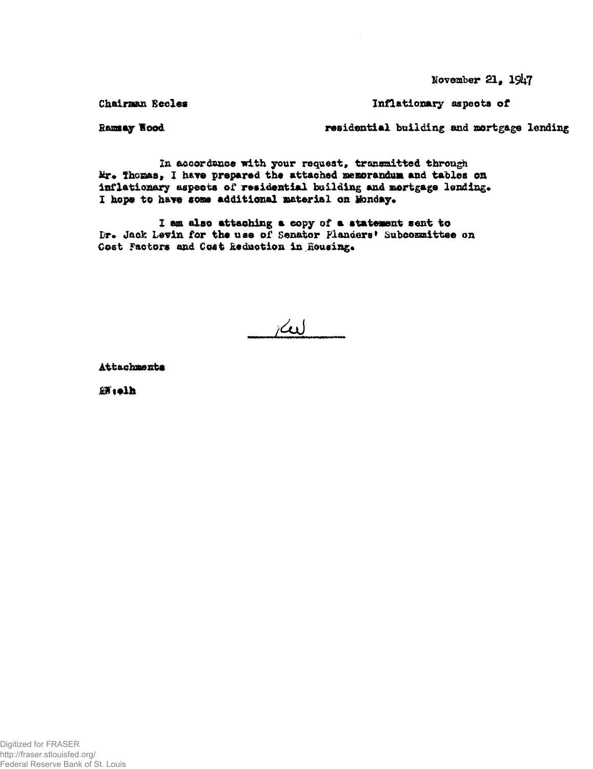$N$ ovember 21,  $19<sub>47</sub>$ 

Chairman Eccles **Inflationary** aspects of

Ramsay Vood residential building and mortgage lending

In accordance with your request, transmitted through Mr. Thomas, I have prepared the attached memorandum and tables on inflationary aspects of residential building and mortgage lending. I hope to have some additional material on Monday.

I am also attaching a copy of a statement sent to Dr. Jack Levin for the use of Senator Flanders' Subcommittee on Cost Factors and Cost Reduction in Housing.

 $\sim$ 

Attachmente

**SH** tolh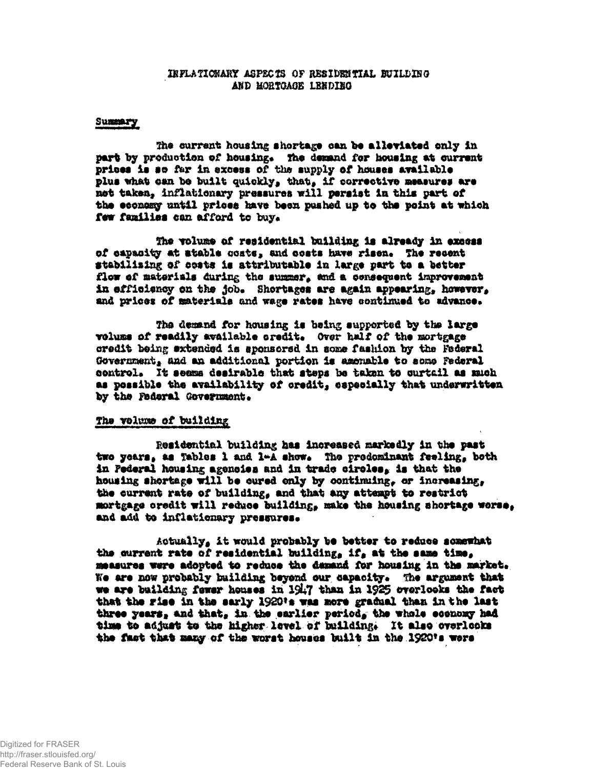#### IRFLATIONARY ASPECTS OF RESIDENTIAL BUILDING AND MORTGAGE LENDING

#### Summary

The current housing shortage can be alleviated only in part by production of housing. The demand for housing at current prices is so far in excess of the supply of houses available plus what can be built quickly, that, if corrective measures are not taken, inflationary pressures will persist in this part of the economy until prices have been pushed up to the point at which few families can afford to buy.

The volume of residential building is already in excess of capacity at stable costs, and costs have risen. The recent stabilising of costs is attributable in large part to a better flow of materials during the summer, and a consequent improvement in efficiency on the job. Shortages are again appearing, however, and prices of materials and wage rates have continued to advance.

The demand for housing is being supported by the large volums of readily available credit. Over half of the mortgage credit being extended is sponsored in some fashion by the Federal Government, and an additional portion is amenable to some Federal control. It seems desirable that steps be taken to curtail as much as possible the availability of credit, especially that underwritten by the Federal Government.

### The volume of building

Residential building has increased markedly in the past two years, as Tables 1 and 1-A show. The prodominant feeling, both in Pederal housing agencies and in trade circles, is that the housing shortage will be cured only by continuing, or increasing, the current rate of building, and that any attempt to restrict mortgage credit will reduce building, make the housing shortage worse, and add to inflationary pressures.

Actually, it would probably be better to reduce somewhat the current rate of residential building, if, at the same time, measures were adopted to reduce the demand for housing in the market. We are now probably building beyond our capacity. The argument that we are building fewer houses in 1947 than in 1925 overlooks the fact that the rise in the sarly 1920's was more gradual than in the last three years, and that, in the earlier period, the whole economy had time to adjust to the higher level of building. It also overlooks the fact that many of the worst houses built in the 1920's were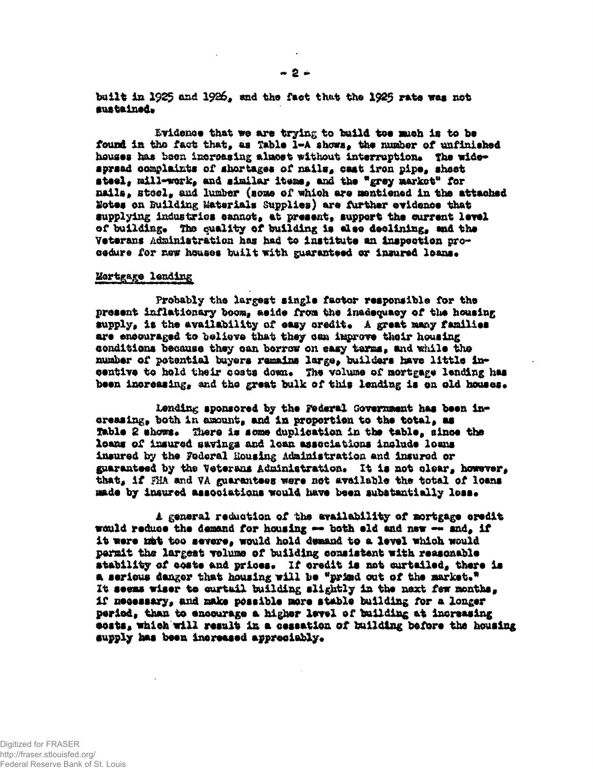built in 1925 and 1926, and the fact that the 1925 rate was not sustained.

Evidence that we are trying to build toe much is to be found in the fact that, as Table 1-A shows, the number of unfinished houses has been increasing almost without interruption. The widespread complaints of shortages of nails, cast iron pipe, sheet steel, mill-work, and similar items, and the "grey market" for nails, stool, and lumber (some of which are mentioned in the attached Notes on Building Materials Supplies) are further evidence that supplying industries cannot, at present, support the current level of building. The quality of building is also declining, and the Veterans Administration has had to institute an imspection procedure for new houses built with guaranteed or insured loans.

#### Mortgage lending

Probably the largest single factor responsible for the present inflationary boom, aside from the inadequacy of the housing supply, is the availability of easy credit. A great many families are ensouraged to believe that they can improve their housing conditions because they can berrow on easy terms, and while the number of potential buyers remains large, builders have little incentive to hold their costs down. The volume of mortgage lending has been increasing, and the great bulk of this lending is on old houses.

Lending sponsored by the Federal Government has been increasing, both in amount, and in proportion to the total, as Table 2 shows. There is some duplication in the table, since the loans of insured savings and loan associations include loans insured by the Foderal Housing Administration and insured or guaranteed by the Veterans Administration. It is not clear, however. that, if FHA and VA guarantees were not available the total of loans made by insured associations would have been substantially less.

A general reduction of the availability of mortgage credit would reduce the demand for housing -- both eld and new -- and, if it were mat too severe, would hold demand to a level which would permit the largest volume of building consistent with reasonable stability of coste and prices. If credit is not curtailed, there is a serious danger that housing will be "primd out of the market." It seems wiser to curtuil building slightly in the next few months, if necessary, and make possible more stable building for a longer period, than to encourage a higher level of building at increasing costs, which will result in a cessation of building before the housing supply has been increased appreciably.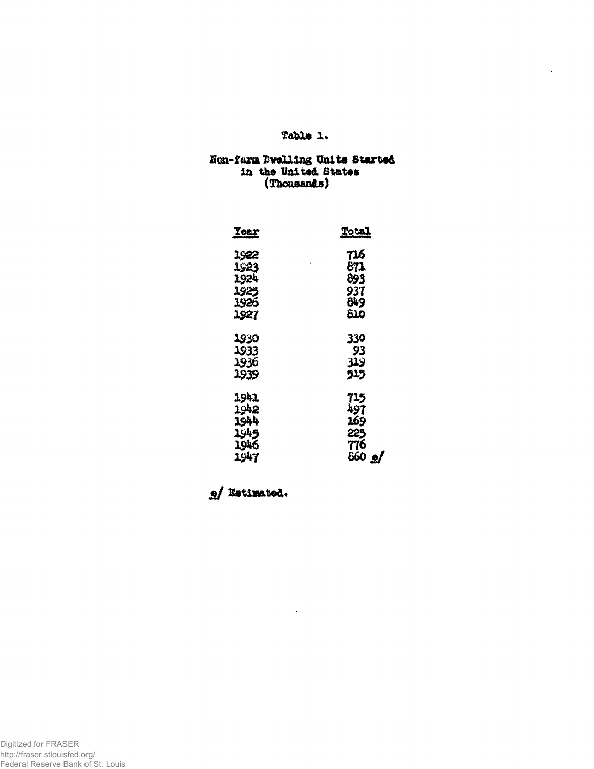# Table 1.

 $\epsilon$ 

# Non-farm Dwelling Units Started<br>in the United States<br>(Thousands)

| <u>Tear</u> | <u>Total</u> |  |  |
|-------------|--------------|--|--|
| 1922        | 716          |  |  |
| 1923        | 871          |  |  |
| 1924        | 893          |  |  |
| 1925        | 937          |  |  |
| 1926        | 849          |  |  |
| 1927        | منة          |  |  |
| 1930        | 330          |  |  |
| 1933        | 93           |  |  |
| 1936        | 319          |  |  |
| 1939        | 515          |  |  |
| 1941        | 715          |  |  |
| 1942        | 497          |  |  |
| 1944        | 169          |  |  |
| 1945        | 225          |  |  |
| 1946        | 776          |  |  |
| 1947        | 860<br>╝     |  |  |

e/ Estimated.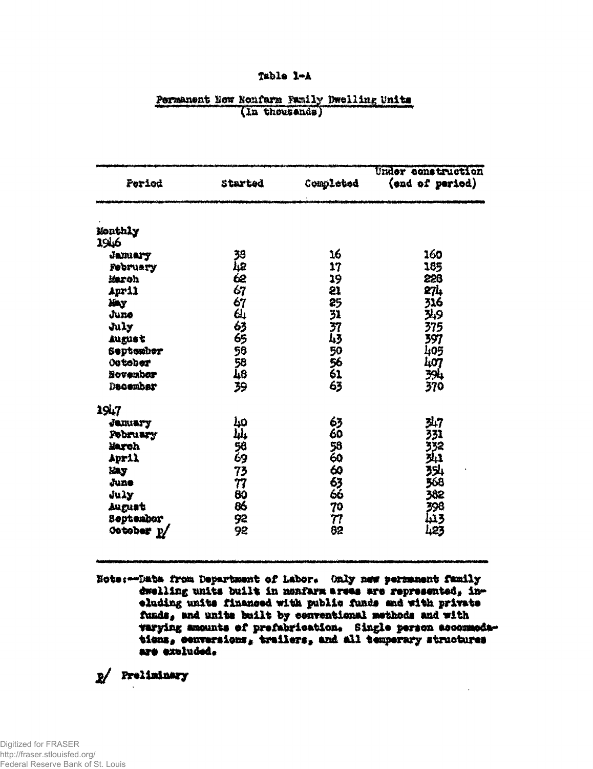### Table 1-A

| Period                 | Started     | Completed | Under construction<br>(end of period) |  |
|------------------------|-------------|-----------|---------------------------------------|--|
| Monthly                |             |           |                                       |  |
| 1946                   |             |           |                                       |  |
| Jamary                 |             | 16        | 160                                   |  |
| February               |             | 17        | 185                                   |  |
| March                  |             | 19        | 226                                   |  |
| April                  |             | 21        | 274                                   |  |
| Xiny                   |             | 25        | 316                                   |  |
| June                   | 30.48556455 | 33745964  | وبلآ                                  |  |
| July                   |             |           | 375                                   |  |
| August                 |             |           | 397                                   |  |
| September              | 56          |           | 405                                   |  |
| Outober                | 58<br>48    |           | 407                                   |  |
| November               |             |           | 394                                   |  |
| December               | 39          | 63        | 370                                   |  |
| 1947                   |             |           |                                       |  |
| January                | مبل         | 63        | 347                                   |  |
| <b>Pebruary</b>        | بلبا        | 60        | 331                                   |  |
| March                  | 58<br>69    | 5860      | 第428                                  |  |
| April                  |             |           |                                       |  |
| <b>Eay</b>             | 73          |           |                                       |  |
| June                   | 77          |           |                                       |  |
| July                   | 80          | 63<br>66  | .<br>382                              |  |
| August                 | 86          | 70        | 398                                   |  |
| <b>September</b>       | 92          | 77        | 3تىل                                  |  |
| October <sub>2</sub> / | 92          | 82        | 423                                   |  |

## Permanent Now Nonfarm Family Dwelling Units (In thousands)

Note: -- Data from Department of Labor. Only new permanent family dwelling units built in monfarm areas are represented, ineluding units financed with public funds and with private funds, and units built by conventional methods and with varying amounts of prefabrication. Single person accommodations, conversions, trailers, and all temperary structures are excluded.

p/ Preliminary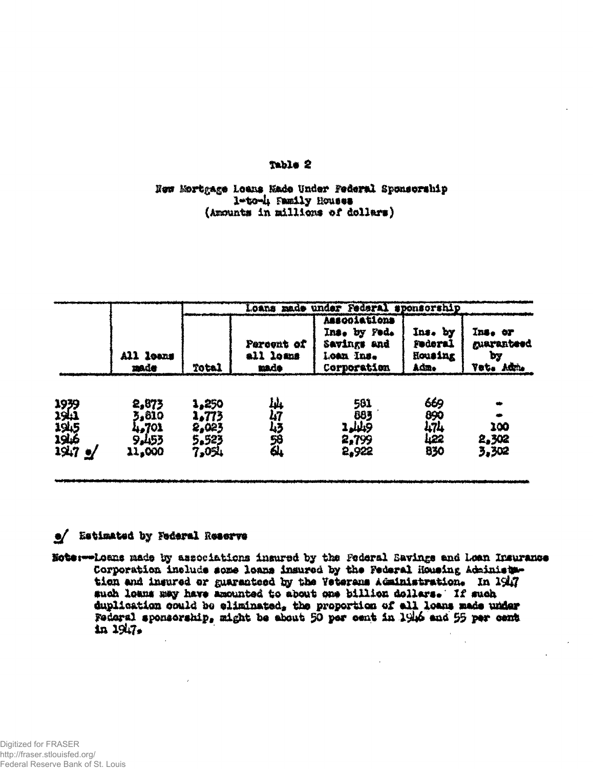### Table 2

## Now Mortgage Loans Made Under Federal Sponsorship l-to-4 Family Houses (Amounts in millions of dollars)

|                                      |                                            | Loans made under Federal sponsorship      |                                 |                                                                         |                                       |                                          |
|--------------------------------------|--------------------------------------------|-------------------------------------------|---------------------------------|-------------------------------------------------------------------------|---------------------------------------|------------------------------------------|
|                                      | All leans<br>made                          | <b>Total</b>                              | Percent of<br>all loans<br>made | Associations<br>Ins. by Fed.<br>Savings and<br>Loan Ins.<br>Corporation | Ins. by<br>Federal<br>Housing<br>Adm. | Ins. or<br>guaranteed<br>by<br>Vet. Adm. |
| 1939<br>1941<br>1945<br>1946<br>1947 | 2,873<br>3,810<br>4,701<br>9.453<br>11,000 | 1,250<br>1,773<br>2,023<br>5.523<br>7.054 | Įņ,<br>47<br>马路的                | 581<br>885<br>2.449<br>2,799<br>5,922                                   | 669<br>890<br>474<br>422<br>830       | 100<br>2,302<br>3,302                    |

# e/ Estimated by Federal Reserve

Note:--Loans made by associations insured by the Federal Eavings and Loan Insurance Corporation include some loans insured by the Federal Housing Administration and insured or guaranteed by the Veterans Administration. In 1947 such loams may have amounted to about one billion dollars. If such duplication could be eliminated, the proportion of all loans made under Federal sponsorship, might be about 50 per cent in 1946 and 55 per cent  $10.1947$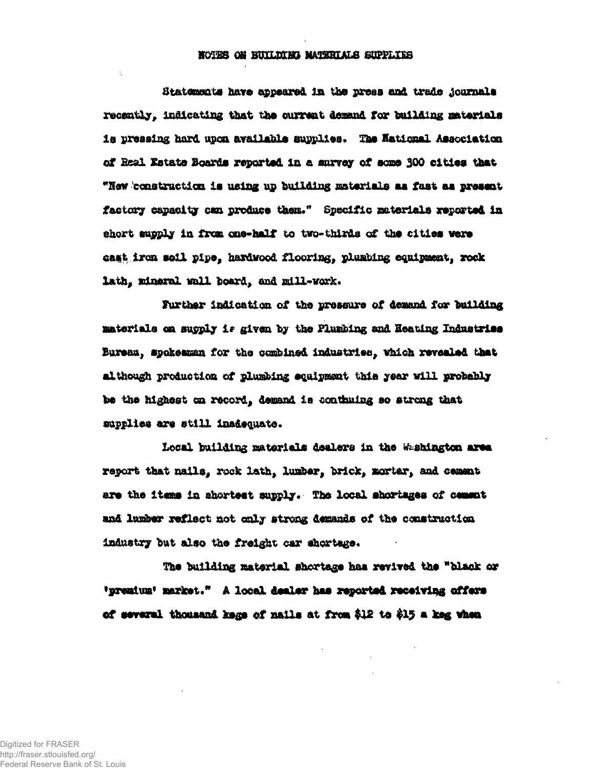### NOTES ON BUILDING MATERIALS SUPPLIES

Statements have appeared in the press and trade journals recently, indicating that the current demand for building materials is pressing hard upon available supplies. The National Association of Real Estate Boards reported in a survey of some 300 cities that "How construction is using up building materials as fast as present factory capacity can produce them." Specific materials reported in short supply in from one-half to two-thirds of the cities were cast iron soil pipe, hardwood flooring, plumbing equipment, rock lath, mineral wall board, and mill-work.

Further indication of the pressure of demand for building materials on supply is given by the Fluxbing and Heating Industries Bureau, spokesman for the combined industries, which revealed that although production of plumbing squipment this year will probably be the highest on record, demand is conthuing so strong that supplies are still inadequate.

Local building materials dealers in the Washington area report that nails, rock lath, lumber, brick, mortar, and cement are the items in ahortest supply. The local shortages of cement and lumber reflect not only strong demands of the construction industry but also the freight car shortage.

The building material shortage has revived the "black or 'premium' market." A local dealer has reported receiving offers of several thousand kege of nails at from \$12 to \$15 a keg when

Digitized for FRASER http://fraser.stlouisfed.org/ Federal Reserve Bank of St. Louis